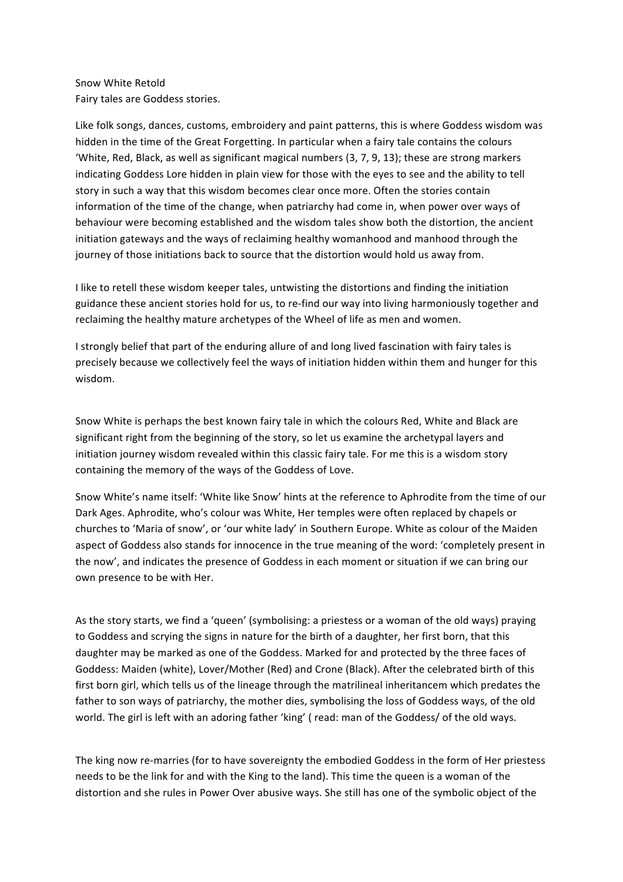## Snow White Retold Fairy tales are Goddess stories.

Like folk songs, dances, customs, embroidery and paint patterns, this is where Goddess wisdom was hidden in the time of the Great Forgetting. In particular when a fairy tale contains the colours 'White, Red, Black, as well as significant magical numbers (3, 7, 9, 13); these are strong markers indicating Goddess Lore hidden in plain view for those with the eyes to see and the ability to tell story in such a way that this wisdom becomes clear once more. Often the stories contain information of the time of the change, when patriarchy had come in, when power over ways of behaviour were becoming established and the wisdom tales show both the distortion, the ancient initiation gateways and the ways of reclaiming healthy womanhood and manhood through the journey of those initiations back to source that the distortion would hold us away from.

I like to retell these wisdom keeper tales, untwisting the distortions and finding the initiation guidance these ancient stories hold for us, to re-find our way into living harmoniously together and reclaiming the healthy mature archetypes of the Wheel of life as men and women.

I strongly belief that part of the enduring allure of and long lived fascination with fairy tales is precisely because we collectively feel the ways of initiation hidden within them and hunger for this wisdom.

Snow White is perhaps the best known fairy tale in which the colours Red, White and Black are significant right from the beginning of the story, so let us examine the archetypal layers and initiation journey wisdom revealed within this classic fairy tale. For me this is a wisdom story containing the memory of the ways of the Goddess of Love.

Snow White's name itself: 'White like Snow' hints at the reference to Aphrodite from the time of our Dark Ages. Aphrodite, who's colour was White, Her temples were often replaced by chapels or churches to 'Maria of snow', or 'our white lady' in Southern Europe. White as colour of the Maiden aspect of Goddess also stands for innocence in the true meaning of the word: 'completely present in the now', and indicates the presence of Goddess in each moment or situation if we can bring our own presence to be with Her.

As the story starts, we find a 'queen' (symbolising: a priestess or a woman of the old ways) praying to Goddess and scrying the signs in nature for the birth of a daughter, her first born, that this daughter may be marked as one of the Goddess. Marked for and protected by the three faces of Goddess: Maiden (white), Lover/Mother (Red) and Crone (Black). After the celebrated birth of this first born girl, which tells us of the lineage through the matrilineal inheritancem which predates the father to son ways of patriarchy, the mother dies, symbolising the loss of Goddess ways, of the old world. The girl is left with an adoring father 'king' (read: man of the Goddess/ of the old ways.

The king now re-marries (for to have sovereignty the embodied Goddess in the form of Her priestess needs to be the link for and with the King to the land). This time the queen is a woman of the distortion and she rules in Power Over abusive ways. She still has one of the symbolic object of the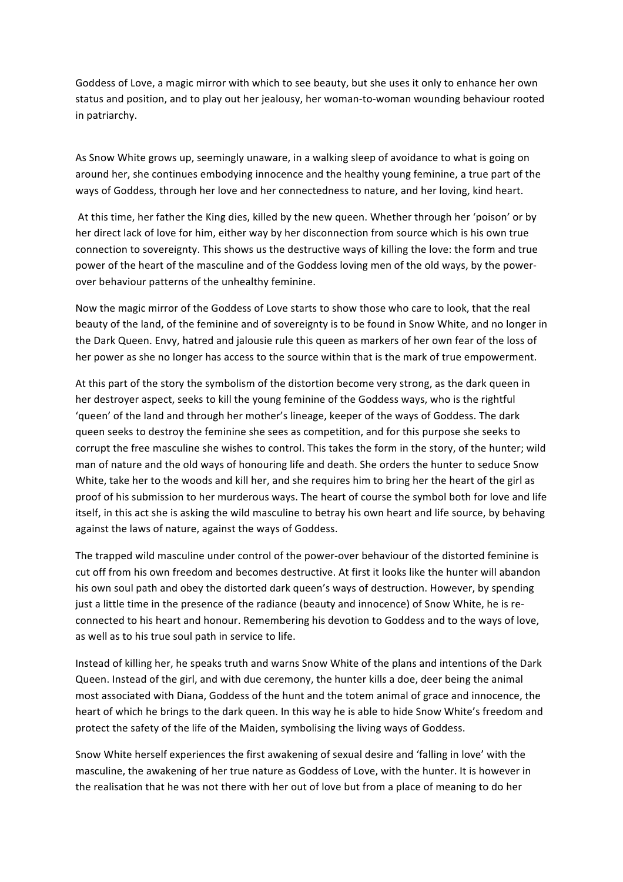Goddess of Love, a magic mirror with which to see beauty, but she uses it only to enhance her own status and position, and to play out her jealousy, her woman-to-woman wounding behaviour rooted in patriarchy.

As Snow White grows up, seemingly unaware, in a walking sleep of avoidance to what is going on around her, she continues embodying innocence and the healthy young feminine, a true part of the ways of Goddess, through her love and her connectedness to nature, and her loving, kind heart.

At this time, her father the King dies, killed by the new queen. Whether through her 'poison' or by her direct lack of love for him, either way by her disconnection from source which is his own true connection to sovereignty. This shows us the destructive ways of killing the love: the form and true power of the heart of the masculine and of the Goddess loving men of the old ways, by the powerover behaviour patterns of the unhealthy feminine.

Now the magic mirror of the Goddess of Love starts to show those who care to look, that the real beauty of the land, of the feminine and of sovereignty is to be found in Snow White, and no longer in the Dark Queen. Envy, hatred and jalousie rule this queen as markers of her own fear of the loss of her power as she no longer has access to the source within that is the mark of true empowerment.

At this part of the story the symbolism of the distortion become very strong, as the dark queen in her destroyer aspect, seeks to kill the young feminine of the Goddess ways, who is the rightful 'queen' of the land and through her mother's lineage, keeper of the ways of Goddess. The dark queen seeks to destroy the feminine she sees as competition, and for this purpose she seeks to corrupt the free masculine she wishes to control. This takes the form in the story, of the hunter; wild man of nature and the old ways of honouring life and death. She orders the hunter to seduce Snow White, take her to the woods and kill her, and she requires him to bring her the heart of the girl as proof of his submission to her murderous ways. The heart of course the symbol both for love and life itself, in this act she is asking the wild masculine to betray his own heart and life source, by behaving against the laws of nature, against the ways of Goddess.

The trapped wild masculine under control of the power-over behaviour of the distorted feminine is cut off from his own freedom and becomes destructive. At first it looks like the hunter will abandon his own soul path and obey the distorted dark queen's ways of destruction. However, by spending just a little time in the presence of the radiance (beauty and innocence) of Snow White, he is reconnected to his heart and honour. Remembering his devotion to Goddess and to the ways of love, as well as to his true soul path in service to life.

Instead of killing her, he speaks truth and warns Snow White of the plans and intentions of the Dark Queen. Instead of the girl, and with due ceremony, the hunter kills a doe, deer being the animal most associated with Diana, Goddess of the hunt and the totem animal of grace and innocence, the heart of which he brings to the dark queen. In this way he is able to hide Snow White's freedom and protect the safety of the life of the Maiden, symbolising the living ways of Goddess.

Snow White herself experiences the first awakening of sexual desire and 'falling in love' with the masculine, the awakening of her true nature as Goddess of Love, with the hunter. It is however in the realisation that he was not there with her out of love but from a place of meaning to do her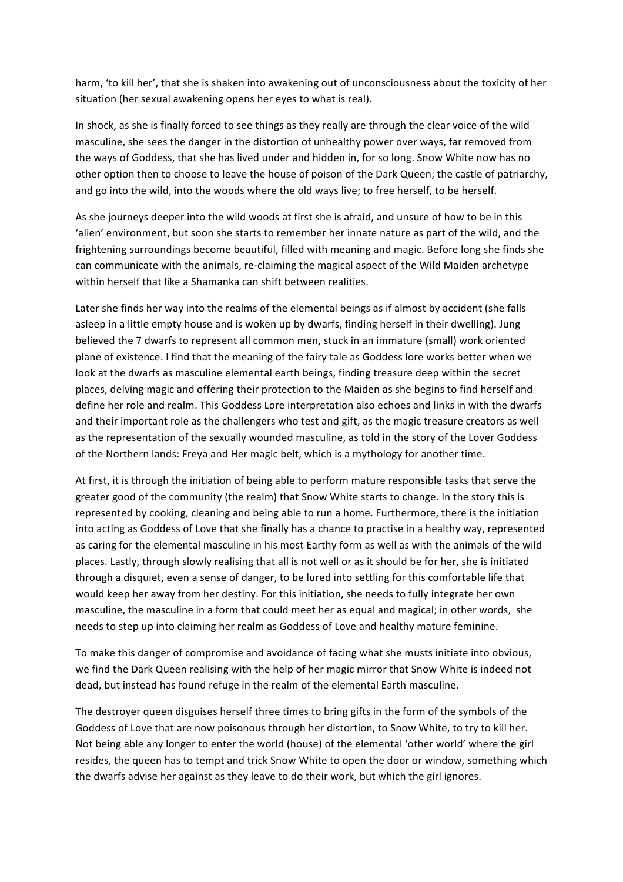harm, 'to kill her', that she is shaken into awakening out of unconsciousness about the toxicity of her situation (her sexual awakening opens her eyes to what is real).

In shock, as she is finally forced to see things as they really are through the clear voice of the wild masculine, she sees the danger in the distortion of unhealthy power over ways, far removed from the ways of Goddess, that she has lived under and hidden in, for so long. Snow White now has no other option then to choose to leave the house of poison of the Dark Queen; the castle of patriarchy, and go into the wild, into the woods where the old ways live; to free herself, to be herself.

As she journeys deeper into the wild woods at first she is afraid, and unsure of how to be in this 'alien' environment, but soon she starts to remember her innate nature as part of the wild, and the frightening surroundings become beautiful, filled with meaning and magic. Before long she finds she can communicate with the animals, re-claiming the magical aspect of the Wild Maiden archetype within herself that like a Shamanka can shift between realities.

Later she finds her way into the realms of the elemental beings as if almost by accident (she falls asleep in a little empty house and is woken up by dwarfs, finding herself in their dwelling). Jung believed the 7 dwarfs to represent all common men, stuck in an immature (small) work oriented plane of existence. I find that the meaning of the fairy tale as Goddess lore works better when we look at the dwarfs as masculine elemental earth beings, finding treasure deep within the secret places, delving magic and offering their protection to the Maiden as she begins to find herself and define her role and realm. This Goddess Lore interpretation also echoes and links in with the dwarfs and their important role as the challengers who test and gift, as the magic treasure creators as well as the representation of the sexually wounded masculine, as told in the story of the Lover Goddess of the Northern lands: Freya and Her magic belt, which is a mythology for another time.

At first, it is through the initiation of being able to perform mature responsible tasks that serve the greater good of the community (the realm) that Snow White starts to change. In the story this is represented by cooking, cleaning and being able to run a home. Furthermore, there is the initiation into acting as Goddess of Love that she finally has a chance to practise in a healthy way, represented as caring for the elemental masculine in his most Earthy form as well as with the animals of the wild places. Lastly, through slowly realising that all is not well or as it should be for her, she is initiated through a disquiet, even a sense of danger, to be lured into settling for this comfortable life that would keep her away from her destiny. For this initiation, she needs to fully integrate her own masculine, the masculine in a form that could meet her as equal and magical; in other words, she needs to step up into claiming her realm as Goddess of Love and healthy mature feminine.

To make this danger of compromise and avoidance of facing what she musts initiate into obvious, we find the Dark Queen realising with the help of her magic mirror that Snow White is indeed not dead, but instead has found refuge in the realm of the elemental Earth masculine.

The destroyer queen disguises herself three times to bring gifts in the form of the symbols of the Goddess of Love that are now poisonous through her distortion, to Snow White, to try to kill her. Not being able any longer to enter the world (house) of the elemental 'other world' where the girl resides, the queen has to tempt and trick Snow White to open the door or window, something which the dwarfs advise her against as they leave to do their work, but which the girl ignores.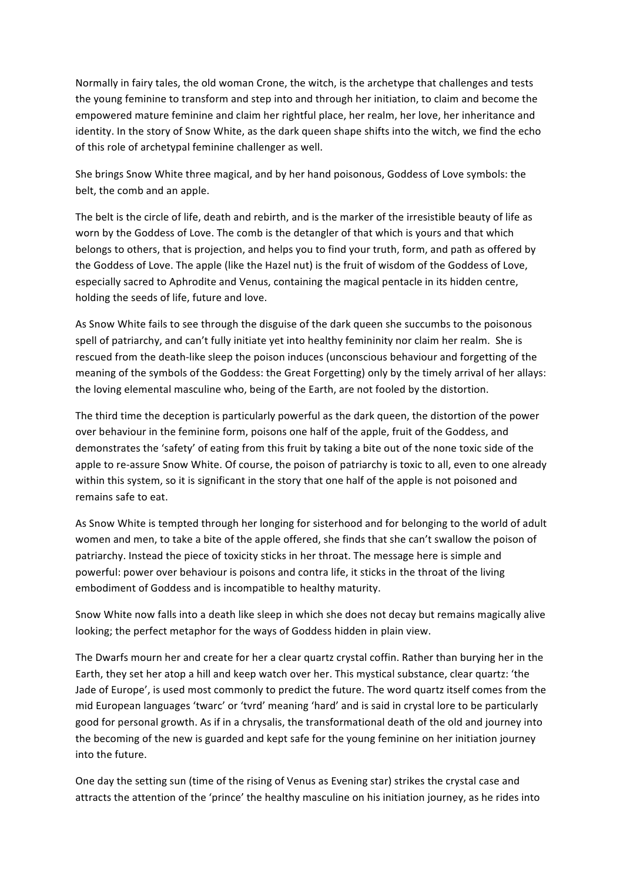Normally in fairy tales, the old woman Crone, the witch, is the archetype that challenges and tests the young feminine to transform and step into and through her initiation, to claim and become the empowered mature feminine and claim her rightful place, her realm, her love, her inheritance and identity. In the story of Snow White, as the dark queen shape shifts into the witch, we find the echo of this role of archetypal feminine challenger as well.

She brings Snow White three magical, and by her hand poisonous, Goddess of Love symbols: the belt, the comb and an apple.

The belt is the circle of life, death and rebirth, and is the marker of the irresistible beauty of life as worn by the Goddess of Love. The comb is the detangler of that which is yours and that which belongs to others, that is projection, and helps you to find your truth, form, and path as offered by the Goddess of Love. The apple (like the Hazel nut) is the fruit of wisdom of the Goddess of Love, especially sacred to Aphrodite and Venus, containing the magical pentacle in its hidden centre, holding the seeds of life, future and love.

As Snow White fails to see through the disguise of the dark queen she succumbs to the poisonous spell of patriarchy, and can't fully initiate yet into healthy femininity nor claim her realm. She is rescued from the death-like sleep the poison induces (unconscious behaviour and forgetting of the meaning of the symbols of the Goddess: the Great Forgetting) only by the timely arrival of her allays: the loving elemental masculine who, being of the Earth, are not fooled by the distortion.

The third time the deception is particularly powerful as the dark queen, the distortion of the power over behaviour in the feminine form, poisons one half of the apple, fruit of the Goddess, and demonstrates the 'safety' of eating from this fruit by taking a bite out of the none toxic side of the apple to re-assure Snow White. Of course, the poison of patriarchy is toxic to all, even to one already within this system, so it is significant in the story that one half of the apple is not poisoned and remains safe to eat.

As Snow White is tempted through her longing for sisterhood and for belonging to the world of adult women and men, to take a bite of the apple offered, she finds that she can't swallow the poison of patriarchy. Instead the piece of toxicity sticks in her throat. The message here is simple and powerful: power over behaviour is poisons and contra life, it sticks in the throat of the living embodiment of Goddess and is incompatible to healthy maturity.

Snow White now falls into a death like sleep in which she does not decay but remains magically alive looking; the perfect metaphor for the ways of Goddess hidden in plain view.

The Dwarfs mourn her and create for her a clear quartz crystal coffin. Rather than burying her in the Earth, they set her atop a hill and keep watch over her. This mystical substance, clear quartz: 'the Jade of Europe', is used most commonly to predict the future. The word quartz itself comes from the mid European languages 'twarc' or 'tvrd' meaning 'hard' and is said in crystal lore to be particularly good for personal growth. As if in a chrysalis, the transformational death of the old and journey into the becoming of the new is guarded and kept safe for the young feminine on her initiation journey into the future

One day the setting sun (time of the rising of Venus as Evening star) strikes the crystal case and attracts the attention of the 'prince' the healthy masculine on his initiation journey, as he rides into